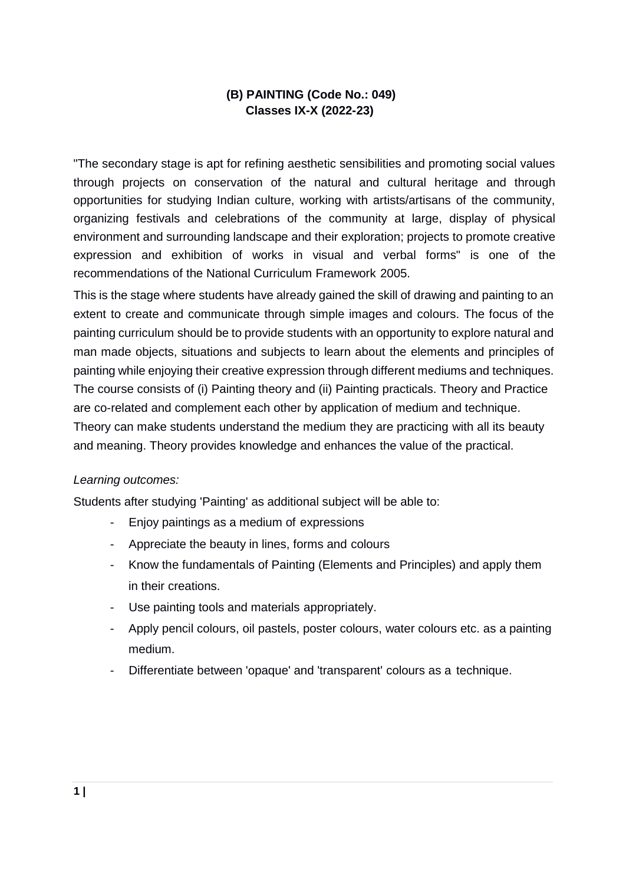# **(B) PAINTING (Code No.: 049) Classes IX-X (2022-23)**

"The secondary stage is apt for refining aesthetic sensibilities and promoting social values through projects on conservation of the natural and cultural heritage and through opportunities for studying Indian culture, working with artists/artisans of the community, organizing festivals and celebrations of the community at large, display of physical environment and surrounding landscape and their exploration; projects to promote creative expression and exhibition of works in visual and verbal forms" is one of the recommendations of the National Curriculum Framework 2005.

This is the stage where students have already gained the skill of drawing and painting to an extent to create and communicate through simple images and colours. The focus of the painting curriculum should be to provide students with an opportunity to explore natural and man made objects, situations and subjects to learn about the elements and principles of painting while enjoying their creative expression through different mediums and techniques. The course consists of (i) Painting theory and (ii) Painting practicals. Theory and Practice are co-related and complement each other by application of medium and technique. Theory can make students understand the medium they are practicing with all its beauty and meaning. Theory provides knowledge and enhances the value of the practical.

#### *Learning outcomes:*

Students after studying 'Painting' as additional subject will be able to:

- Enjoy paintings as a medium of expressions
- Appreciate the beauty in lines, forms and colours
- Know the fundamentals of Painting (Elements and Principles) and apply them in their creations.
- Use painting tools and materials appropriately.
- Apply pencil colours, oil pastels, poster colours, water colours etc. as a painting medium.
- Differentiate between 'opaque' and 'transparent' colours as a technique.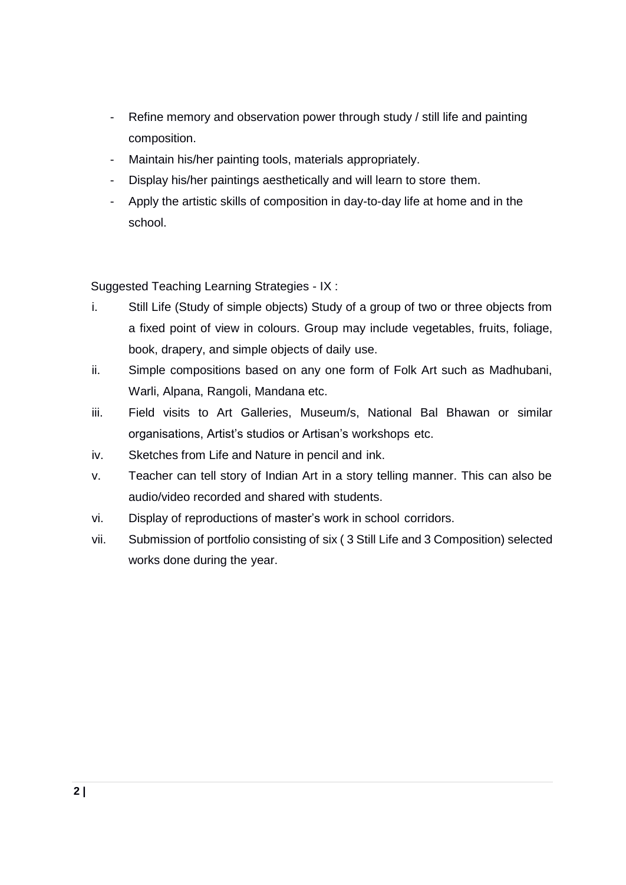- Refine memory and observation power through study / still life and painting composition.
- Maintain his/her painting tools, materials appropriately.
- Display his/her paintings aesthetically and will learn to store them.
- Apply the artistic skills of composition in day-to-day life at home and in the school.

Suggested Teaching Learning Strategies - IX :

- i. Still Life (Study of simple objects) Study of a group of two or three objects from a fixed point of view in colours. Group may include vegetables, fruits, foliage, book, drapery, and simple objects of daily use.
- ii. Simple compositions based on any one form of Folk Art such as Madhubani, Warli, Alpana, Rangoli, Mandana etc.
- iii. Field visits to Art Galleries, Museum/s, National Bal Bhawan or similar organisations, Artist's studios or Artisan's workshops etc.
- iv. Sketches from Life and Nature in pencil and ink.
- v. Teacher can tell story of Indian Art in a story telling manner. This can also be audio/video recorded and shared with students.
- vi. Display of reproductions of master's work in school corridors.
- vii. Submission of portfolio consisting of six ( 3 Still Life and 3 Composition) selected works done during the year.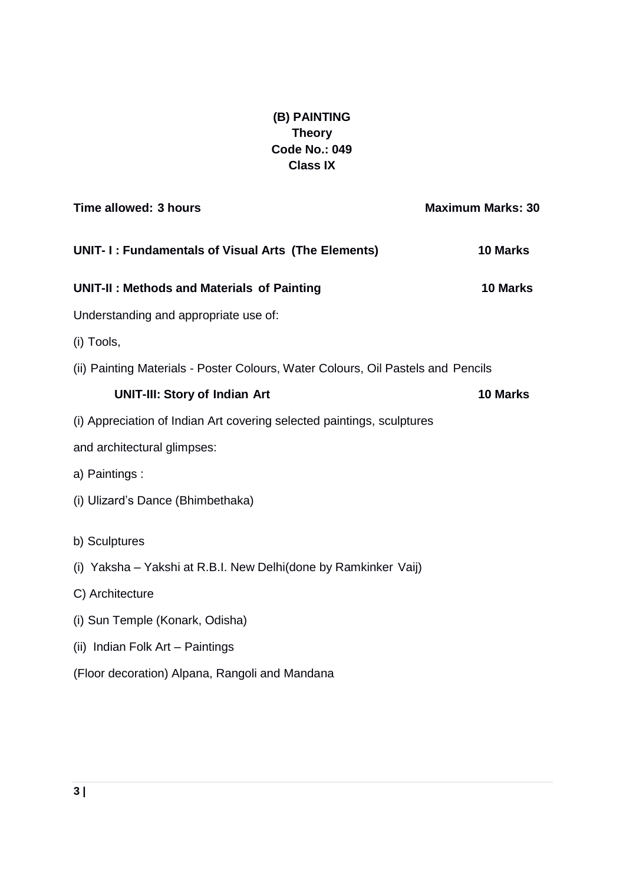# **(B) PAINTING Theory Code No.: 049 Class IX**

| Time allowed: 3 hours                                                            | <b>Maximum Marks: 30</b> |
|----------------------------------------------------------------------------------|--------------------------|
| UNIT- I: Fundamentals of Visual Arts (The Elements)                              | 10 Marks                 |
| <b>UNIT-II: Methods and Materials of Painting</b>                                | 10 Marks                 |
| Understanding and appropriate use of:                                            |                          |
| (i) Tools,                                                                       |                          |
| (ii) Painting Materials - Poster Colours, Water Colours, Oil Pastels and Pencils |                          |
| <b>UNIT-III: Story of Indian Art</b>                                             | 10 Marks                 |
| (i) Appreciation of Indian Art covering selected paintings, sculptures           |                          |
| and architectural glimpses:                                                      |                          |
| a) Paintings :                                                                   |                          |
| (i) Ulizard's Dance (Bhimbethaka)                                                |                          |
| b) Sculptures                                                                    |                          |
| (i) Yaksha – Yakshi at R.B.I. New Delhi(done by Ramkinker Vaij)                  |                          |
| C) Architecture                                                                  |                          |
| (i) Sun Temple (Konark, Odisha)                                                  |                          |
| (ii) Indian Folk Art - Paintings                                                 |                          |
| (Floor decoration) Alpana, Rangoli and Mandana                                   |                          |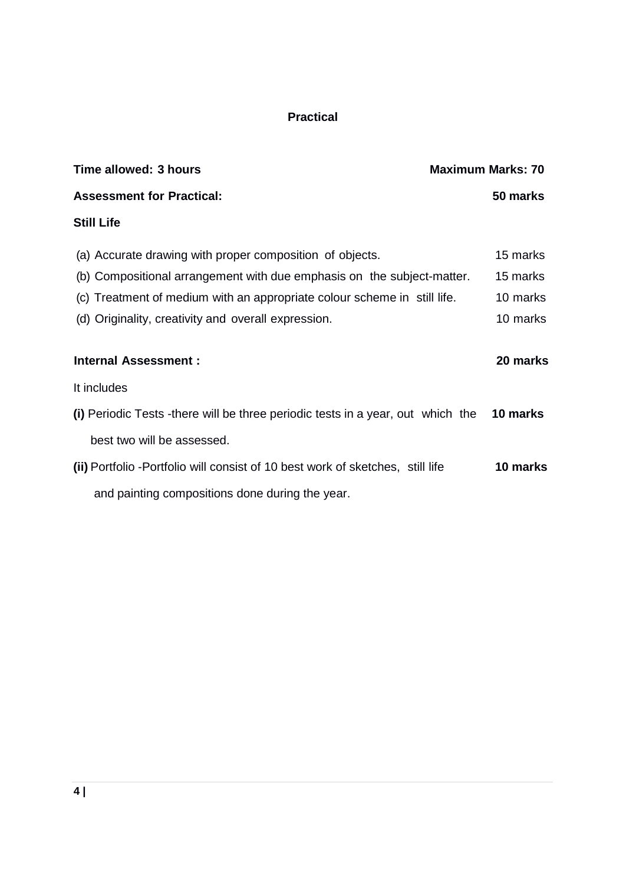# **Practical**

| Time allowed: 3 hours                                                           | <b>Maximum Marks: 70</b> |
|---------------------------------------------------------------------------------|--------------------------|
| <b>Assessment for Practical:</b>                                                | 50 marks                 |
| <b>Still Life</b>                                                               |                          |
| (a) Accurate drawing with proper composition of objects.                        | 15 marks                 |
| (b) Compositional arrangement with due emphasis on the subject-matter.          | 15 marks                 |
| (c) Treatment of medium with an appropriate colour scheme in still life.        | 10 marks                 |
| (d) Originality, creativity and overall expression.                             | 10 marks                 |
| <b>Internal Assessment:</b>                                                     | 20 marks                 |
| It includes                                                                     |                          |
| (i) Periodic Tests -there will be three periodic tests in a year, out which the | 10 marks                 |
| best two will be assessed.                                                      |                          |
| (ii) Portfolio - Portfolio will consist of 10 best work of sketches, still life | 10 marks                 |
| and painting compositions done during the year.                                 |                          |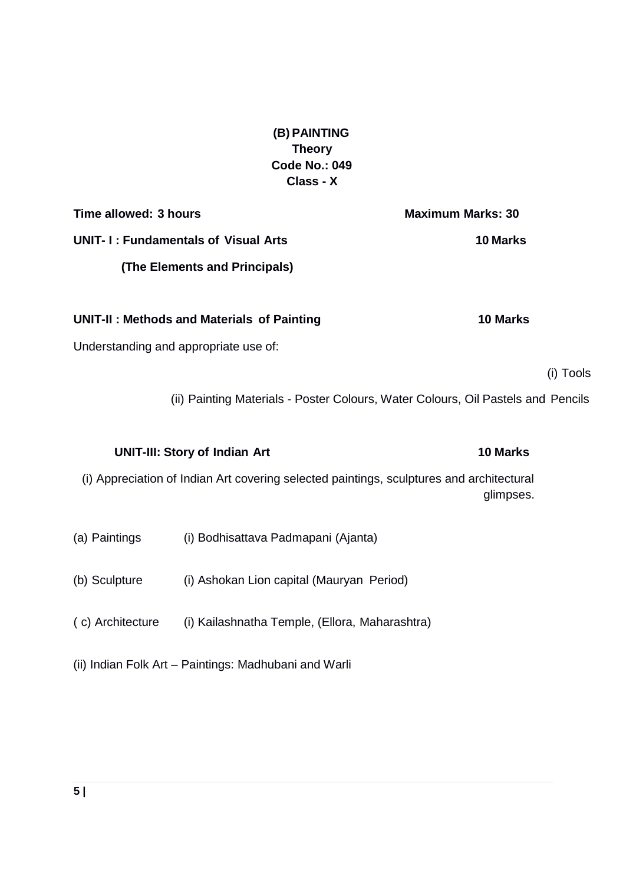**(B) PAINTING Theory Code No.: 049 Class - X**

**Time allowed: 3 hours Maximum Marks: 30 UNIT- I : Fundamentals of Visual Arts 10 Marks (The Elements and Principals)**

**UNIT-II : Methods and Materials of Painting 10 Marks**

Understanding and appropriate use of:

(i) Tools

(ii) Painting Materials - Poster Colours, Water Colours, Oil Pastels and Pencils

**UNIT-III: Story of Indian Art 10 Marks** (i) Appreciation of Indian Art covering selected paintings, sculptures and architectural glimpses.

- (a) Paintings (i) Bodhisattava Padmapani (Ajanta)
- (b) Sculpture (i) Ashokan Lion capital (Mauryan Period)
- ( c) Architecture (i) Kailashnatha Temple, (Ellora, Maharashtra)
- (ii) Indian Folk Art Paintings: Madhubani and Warli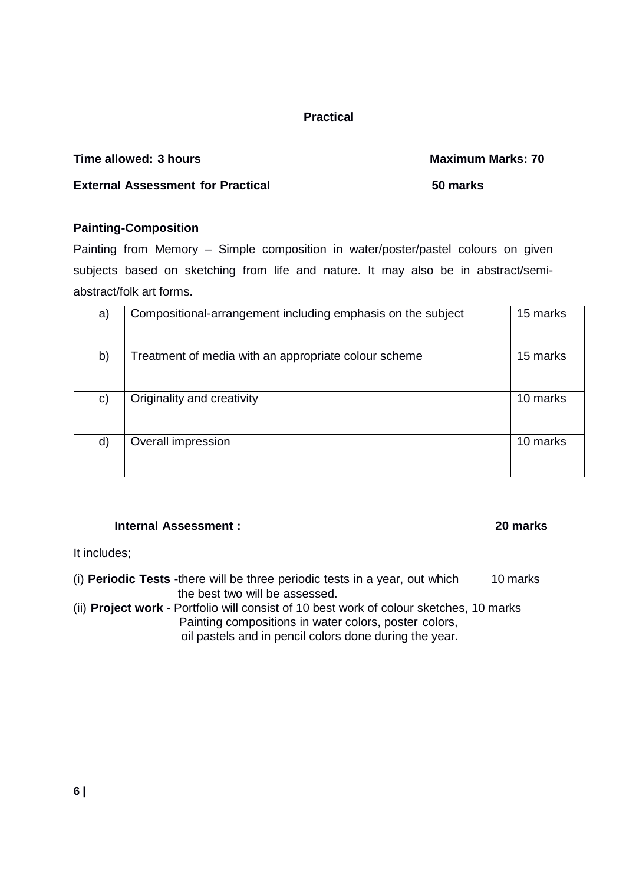## **Practical**

## **Time allowed: 3 hours Maximum Marks: 70**

## **External Assessment for Practical 50 marks**

## **Painting-Composition**

Painting from Memory – Simple composition in water/poster/pastel colours on given subjects based on sketching from life and nature. It may also be in abstract/semiabstract/folk art forms.

| a) | Compositional-arrangement including emphasis on the subject | 15 marks |
|----|-------------------------------------------------------------|----------|
| b) | Treatment of media with an appropriate colour scheme        | 15 marks |
| C) | Originality and creativity                                  | 10 marks |
| d) | Overall impression                                          | 10 marks |

### **Internal Assessment : 20 marks**

It includes;

- (i) **Periodic Tests** -there will be three periodic tests in a year, out which 10 marks the best two will be assessed.
- (ii) **Project work**  Portfolio will consist of 10 best work of colour sketches, 10 marks Painting compositions in water colors, poster colors, oil pastels and in pencil colors done during the year.

**6 |**